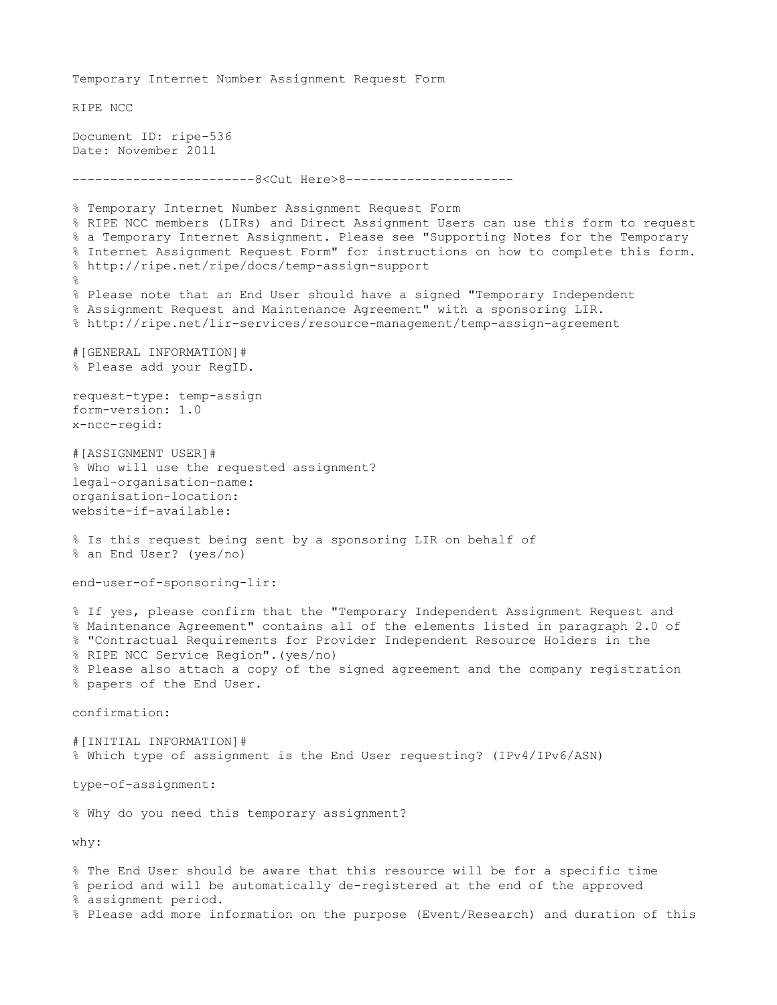Temporary Internet Number Assignment Request Form RIPE NCC Document ID: ripe-536 Date: November 2011 ---------------------------8<Cut Here>8-----------------------% Temporary Internet Number Assignment Request Form % RIPE NCC members (LIRs) and Direct Assignment Users can use this form to request % a Temporary Internet Assignment. Please see "Supporting Notes for the Temporary % Internet Assignment Request Form" for instructions on how to complete this form. % http://ripe.net/ripe/docs/temp-assign-support  $\frac{6}{10}$ % Please note that an End User should have a signed "Temporary Independent % Assignment Request and Maintenance Agreement" with a sponsoring LIR. % http://ripe.net/lir-services/resource-management/temp-assign-agreement #[GENERAL INFORMATION]# % Please add your RegID. request-type: temp-assign form-version: 1.0 x-ncc-regid: #[ASSIGNMENT USER]# % Who will use the requested assignment? legal-organisation-name: organisation-location: website-if-available: % Is this request being sent by a sponsoring LIR on behalf of % an End User? (yes/no) end-user-of-sponsoring-lir: % If yes, please confirm that the "Temporary Independent Assignment Request and % Maintenance Agreement" contains all of the elements listed in paragraph 2.0 of % "Contractual Requirements for Provider Independent Resource Holders in the % RIPE NCC Service Region".(yes/no) % Please also attach a copy of the signed agreement and the company registration % papers of the End User. confirmation: #[INITIAL INFORMATION]# % Which type of assignment is the End User requesting? (IPv4/IPv6/ASN) type-of-assignment: % Why do you need this temporary assignment? why: % The End User should be aware that this resource will be for a specific time % period and will be automatically de-registered at the end of the approved % assignment period. % Please add more information on the purpose (Event/Research) and duration of this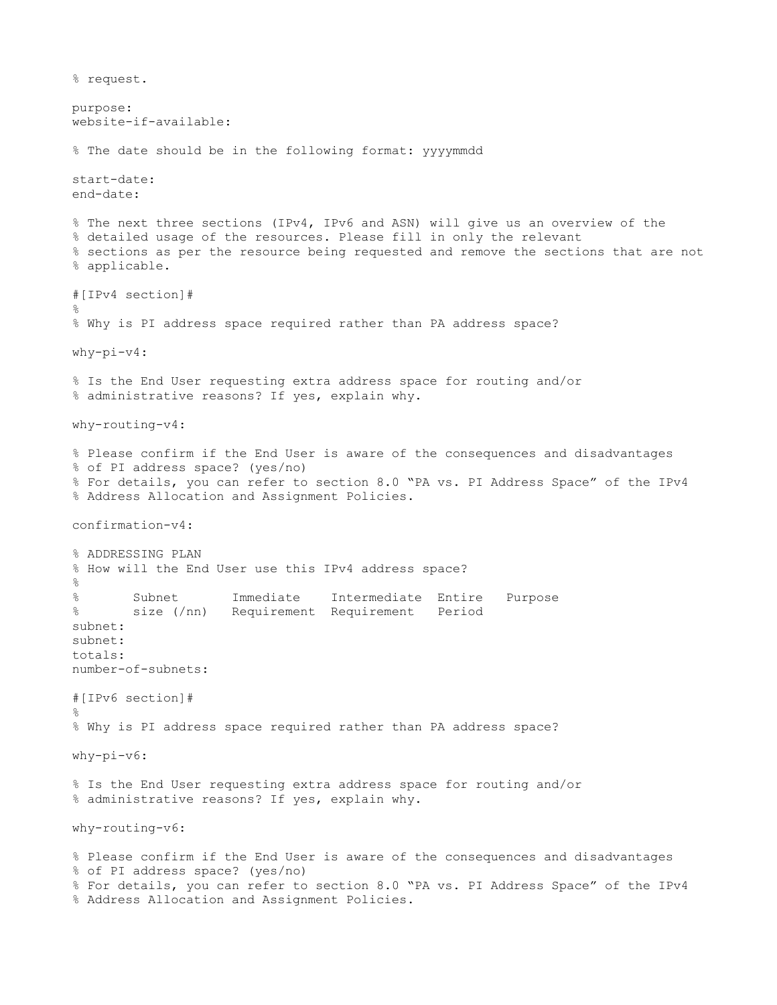% request. purpose: website-if-available: % The date should be in the following format: yyyymmdd start-date: end-date: % The next three sections (IPv4, IPv6 and ASN) will give us an overview of the % detailed usage of the resources. Please fill in only the relevant % sections as per the resource being requested and remove the sections that are not % applicable. #[IPv4 section]# % % Why is PI address space required rather than PA address space? why-pi-v4: % Is the End User requesting extra address space for routing and/or % administrative reasons? If yes, explain why. why-routing-v4: % Please confirm if the End User is aware of the consequences and disadvantages % of PI address space? (yes/no) % For details, you can refer to section 8.0 "PA vs. PI Address Space" of the IPv4 % Address Allocation and Assignment Policies. confirmation-v4: % ADDRESSING PLAN % How will the End User use this IPv4 address space? % % Subnet Immediate Intermediate Entire Purpose % size (/nn) Requirement Requirement Period subnet: subnet: totals: number-of-subnets: #[IPv6 section]# % % Why is PI address space required rather than PA address space? why-pi-v6: % Is the End User requesting extra address space for routing and/or % administrative reasons? If yes, explain why. why-routing-v6: % Please confirm if the End User is aware of the consequences and disadvantages % of PI address space? (yes/no) % For details, you can refer to section 8.0 "PA vs. PI Address Space" of the IPv4 % Address Allocation and Assignment Policies.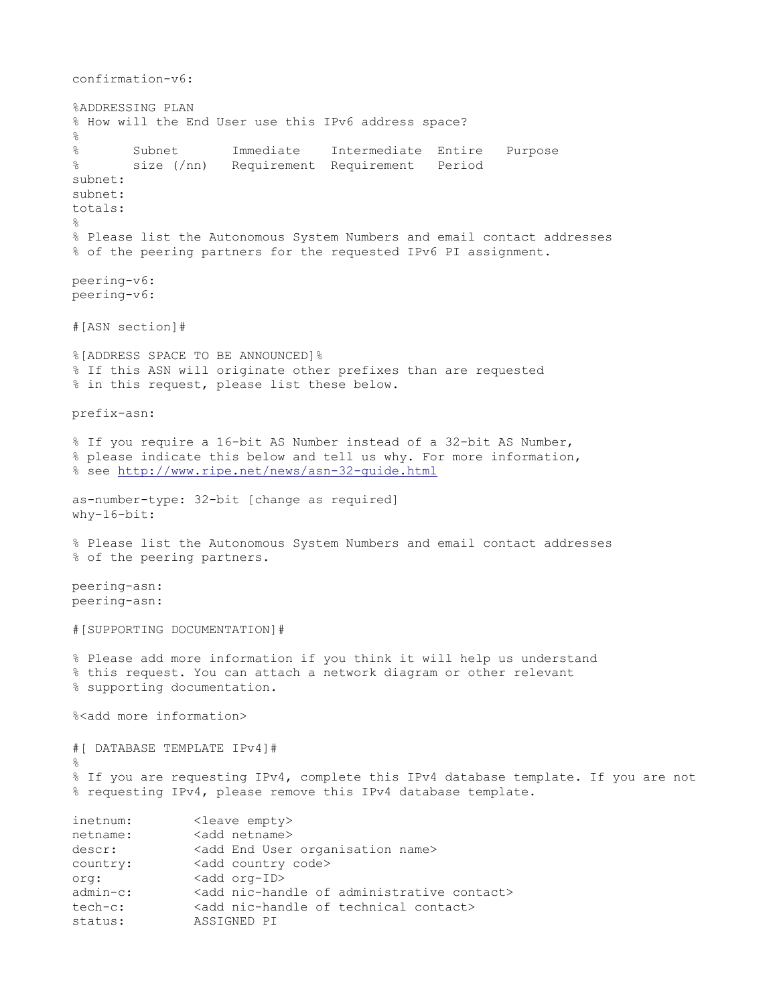```
confirmation-v6:
%ADDRESSING PLAN
% How will the End User use this IPv6 address space?
\approx% Subnet Immediate Intermediate Entire Purpose
% size (/nn) Requirement Requirement Period
subnet:
subnet:
totals:
%
% Please list the Autonomous System Numbers and email contact addresses 
% of the peering partners for the requested IPv6 PI assignment.
peering-v6:
peering-v6:
#[ASN section]#
%[ADDRESS SPACE TO BE ANNOUNCED]%
% If this ASN will originate other prefixes than are requested 
% in this request, please list these below.
prefix-asn:
% If you require a 16-bit AS Number instead of a 32-bit AS Number, 
% please indicate this below and tell us why. For more information,
% see http://www.ripe.net/news/asn-32-quide.html
as-number-type: 32-bit [change as required]
why-16-bit:
% Please list the Autonomous System Numbers and email contact addresses
% of the peering partners.
peering-asn:
peering-asn:
#[SUPPORTING DOCUMENTATION]#
% Please add more information if you think it will help us understand
% this request. You can attach a network diagram or other relevant
% supporting documentation.
%<add more information>
#[ DATABASE TEMPLATE IPv4]#
%
% If you are requesting IPv4, complete this IPv4 database template. If you are not
% requesting IPv4, please remove this IPv4 database template. 
inetnum: <leave empty>
netname: <add netname>
descr: <add End User organisation name>
country: <add country code>
org: <add org-ID>
admin-c: <add nic-handle of administrative contact>
tech-c: <add nic-handle of technical contact>
status: ASSIGNED PI
```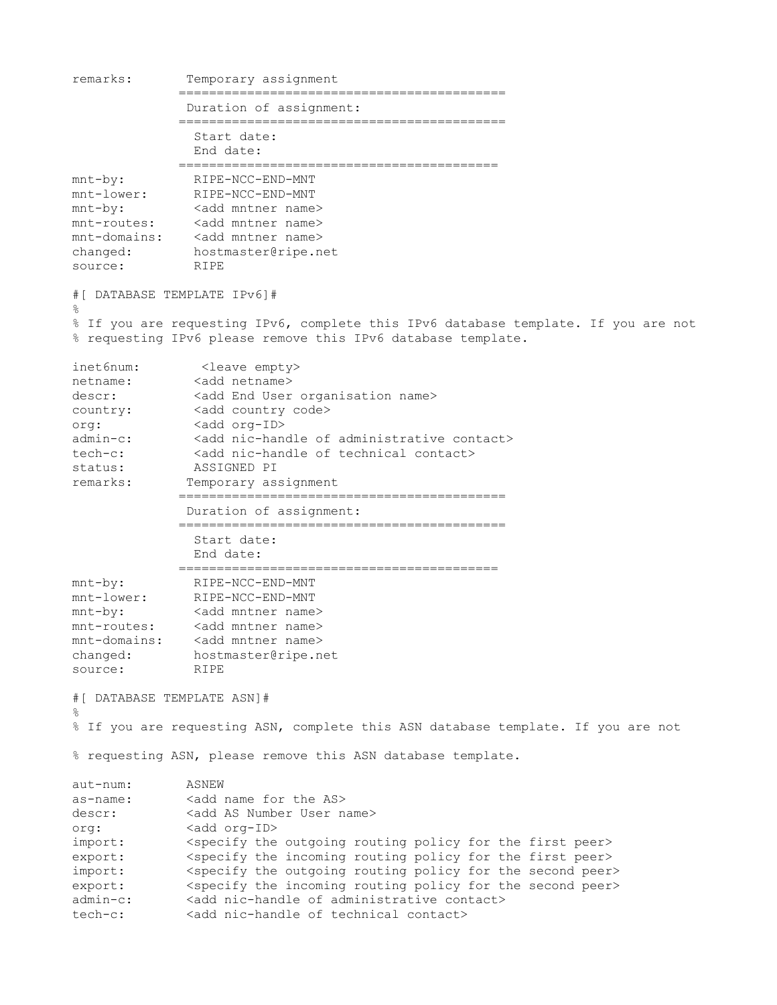```
remarks: Temporary assignment
               ===========================================
                Duration of assignment:
               ===========================================
                 Start date:
                 End date:
               ==========================================
mnt-by: RIPE-NCC-END-MNT
mnt-lower: RIPE-NCC-END-MNT
mnt-by: <add mntner name>
mnt-routes: <add mntner name>
mnt-domains: <add mntner name>
changed: hostmaster@ripe.net
source: RIPE
#[ DATABASE TEMPLATE IPv6]#
%
% If you are requesting IPv6, complete this IPv6 database template. If you are not
% requesting IPv6 please remove this IPv6 database template. 
inet6num: <leave empty><br>netname: <add netname>
              <add netname>
descr: <add End User organisation name>
country: <add country code>
org: <add org-ID>
admin-c: <add nic-handle of administrative contact>
tech-c: <add nic-handle of technical contact>
status: ASSIGNED PI
remarks: Temporary assignment
               ===========================================
                Duration of assignment:
               ===========================================
                 Start date:
                 End date:
               ==========================================
mnt-by:<br>
mnt-lower:<br>
RIPE-NCC-END-MNT
mnt-lower: RIPE-NCC-END-MNT
mnt-by: <add mntner name>
mnt-routes: <add mntner name>
mnt-domains: <add mntner name>
changed: hostmaster@ripe.net
source: RIPE
#[ DATABASE TEMPLATE ASN]#
%
% If you are requesting ASN, complete this ASN database template. If you are not
% requesting ASN, please remove this ASN database template. 
aut-num: ASNEW 
as-name: <add name for the AS>
descr: <add AS Number User name>
org: <add org-ID>
import: <specify the outgoing routing policy for the first peer><br>export: <specify the incoming routing policy for the first peer><br>import: <specify the outgoing routing policy for the second peer<br>admin-c: <add nic-handle of
              <specify the incoming routing policy for the first peer>
              <specify the outgoing routing policy for the second peer>
              <specify the incoming routing policy for the second peer>
admin-c: <add nic-handle of administrative contact><br>tech-c: <add nic-handle of technical contact>
              <add nic-handle of technical contact>
```